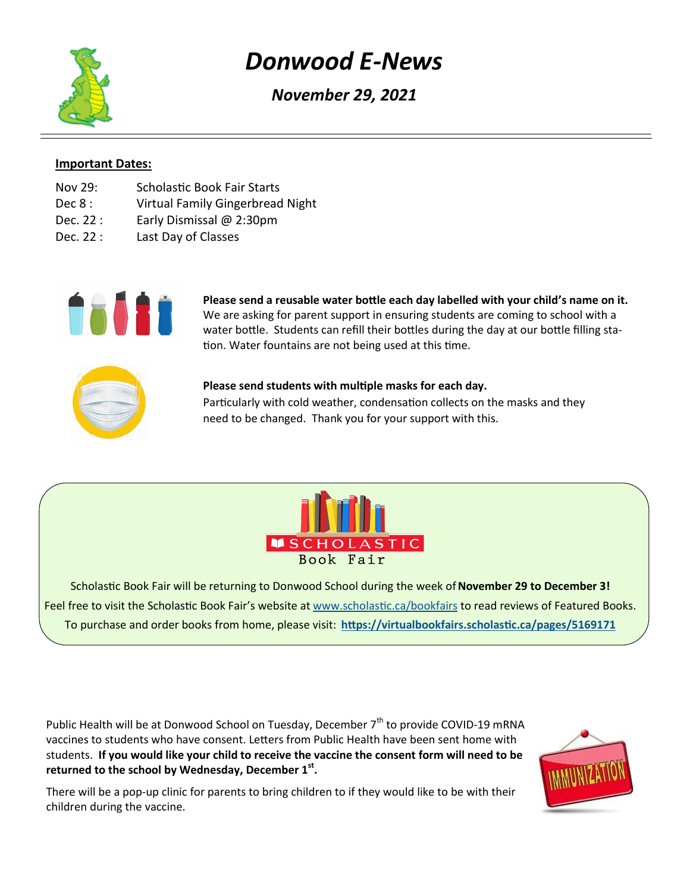# *Donwood E-News*

*November 29, 2021*

### **Important Dates:**

- Nov 29: Scholastic Book Fair Starts
- Dec 8: Virtual Family Gingerbread Night
- Dec. 22 : Early Dismissal @ 2:30pm
- Dec. 22 : Last Day of Classes



**Please send a reusable water bottle each day labelled with your child's name on it.** We are asking for parent support in ensuring students are coming to school with a water bottle. Students can refill their bottles during the day at our bottle filling station. Water fountains are not being used at this time.



# **Please send students with multiple masks for each day.**

Particularly with cold weather, condensation collects on the masks and they need to be changed. Thank you for your support with this.



Scholastic Book Fair will be returning to Donwood School during the week of **November 29 to December 3!** Feel free to visit the Scholastic Book Fair's website at [www.scholastic.ca/bookfairs](http://www.scholastic.ca/bookfairs) to read reviews of Featured Books. To purchase and order books from home, please visit: **<https://virtualbookfairs.scholastic.ca/pages/5169171>**

Public Health will be at Donwood School on Tuesday, December  $7<sup>th</sup>$  to provide COVID-19 mRNA vaccines to students who have consent. Letters from Public Health have been sent home with students. **If you would like your child to receive the vaccine the consent form will need to be returned to the school by Wednesday, December 1st .**

There will be a pop-up clinic for parents to bring children to if they would like to be with their children during the vaccine.

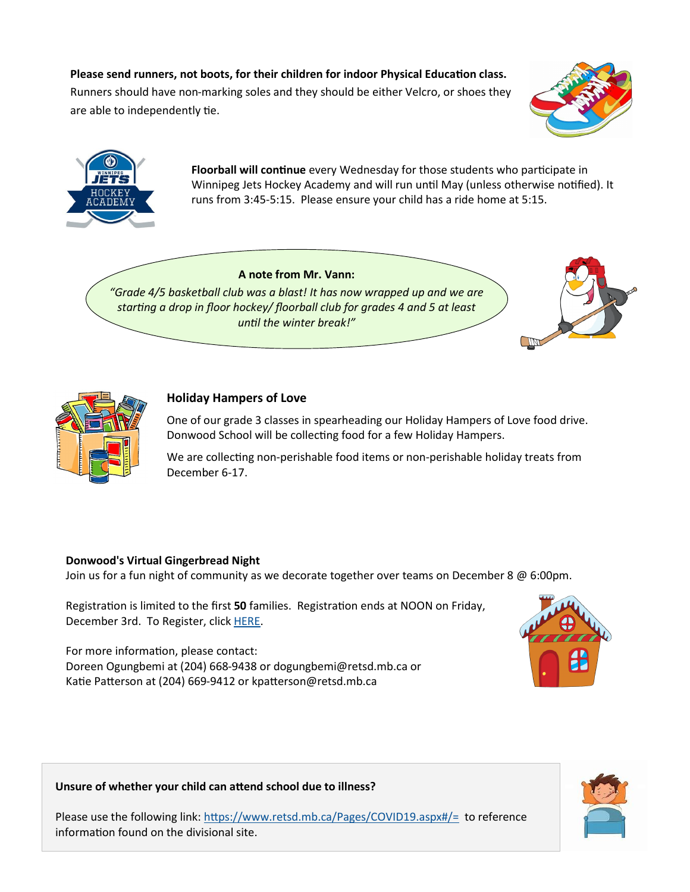## **Please send runners, not boots, for their children for indoor Physical Education class.**

Runners should have non-marking soles and they should be either Velcro, or shoes they are able to independently tie.





**Floorball will continue** every Wednesday for those students who participate in Winnipeg Jets Hockey Academy and will run until May (unless otherwise notified). It runs from 3:45-5:15. Please ensure your child has a ride home at 5:15.

#### **A note from Mr. Vann:**

*"Grade 4/5 basketball club was a blast! It has now wrapped up and we are starting a drop in floor hockey/ floorball club for grades 4 and 5 at least until the winter break!"*





#### **Holiday Hampers of Love**

One of our grade 3 classes in spearheading our Holiday Hampers of Love food drive. Donwood School will be collecting food for a few Holiday Hampers.

We are collecting non-perishable food items or non-perishable holiday treats from December 6-17.

#### **Donwood's Virtual Gingerbread Night**

Join us for a fun night of community as we decorate together over teams on December 8 @ 6:00pm.

Registration is limited to the first **50** families. Registration ends at NOON on Friday, December 3rd. To Register, click [HERE.](https://docs.google.com/forms/d/e/1FAIpQLSfHCaLZRSCdnY9fUnfMai54JijAd37pccOC1kKQLstx_SYKNg/viewform)

For more information, please contact: Doreen Ogungbemi at (204) 668-9438 or dogungbemi@retsd.mb.ca or Katie Patterson at (204) 669-9412 or kpatterson@retsd.mb.ca



#### **Unsure of whether your child can attend school due to illness?**

Please use the following link: <https://www.retsd.mb.ca/Pages/COVID19.aspx#/=>to reference information found on the divisional site.